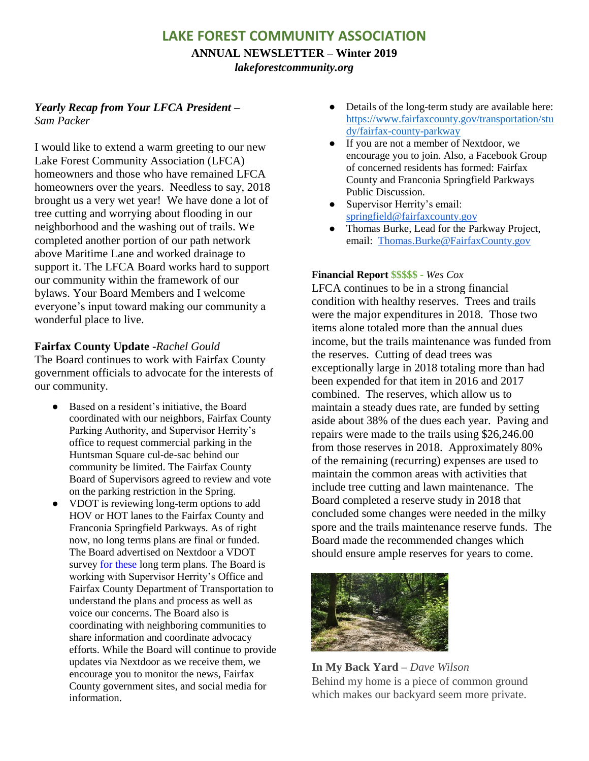# **LAKE FOREST COMMUNITY ASSOCIATION**

**ANNUAL NEWSLETTER – Winter 2019** *lakeforestcommunity.org*

## *Yearly Recap from Your LFCA President – Sam Packer*

I would like to extend a warm greeting to our new Lake Forest Community Association (LFCA) homeowners and those who have remained LFCA homeowners over the years. Needless to say, 2018 brought us a very wet year! We have done a lot of tree cutting and worrying about flooding in our neighborhood and the washing out of trails. We completed another portion of our path network above Maritime Lane and worked drainage to support it. The LFCA Board works hard to support our community within the framework of our bylaws. Your Board Members and I welcome everyone's input toward making our community a wonderful place to live.

### **Fairfax County Update -***Rachel Gould*

The Board continues to work with Fairfax County government officials to advocate for the interests of our community.

- Based on a resident's initiative, the Board coordinated with our neighbors, Fairfax County Parking Authority, and Supervisor Herrity's office to request commercial parking in the Huntsman Square cul-de-sac behind our community be limited. The Fairfax County Board of Supervisors agreed to review and vote on the parking restriction in the Spring.
- VDOT is reviewing long-term options to add HOV or HOT lanes to the Fairfax County and Franconia Springfield Parkways. As of right now, no long terms plans are final or funded. The Board advertised on Nextdoor a VDOT survey for these long term plans. The Board is working with Supervisor Herrity's Office and Fairfax County Department of Transportation to understand the plans and process as well as voice our concerns. The Board also is coordinating with neighboring communities to share information and coordinate advocacy efforts. While the Board will continue to provide updates via Nextdoor as we receive them, we encourage you to monitor the news, Fairfax County government sites, and social media for information.
- Details of the long-term study are available here: [https://www.fairfaxcounty.gov/transportation/stu](https://www.fairfaxcounty.gov/transportation/stu%20dy/fairfax-county-parkway)  [dy/fairfax-county-parkway](https://www.fairfaxcounty.gov/transportation/stu%20dy/fairfax-county-parkway)
- If you are not a member of Nextdoor, we encourage you to join. Also, a Facebook Group of concerned residents has formed: Fairfax County and Franconia Springfield Parkways Public Discussion.
- Supervisor Herrity's email: [springfield@fairfaxcounty.gov](mailto:springfield@fairfaxcounty.gov)
- Thomas Burke, Lead for the Parkway Project, email: [Thomas.Burke@FairfaxCounty.gov](mailto:Thomas.Burke@FairfaxCounty.gov)

#### **Financial Report \$\$\$\$\$ -** *Wes Cox*

LFCA continues to be in a strong financial condition with healthy reserves. Trees and trails were the major expenditures in 2018. Those two items alone totaled more than the annual dues income, but the trails maintenance was funded from the reserves. Cutting of dead trees was exceptionally large in 2018 totaling more than had been expended for that item in 2016 and 2017 combined. The reserves, which allow us to maintain a steady dues rate, are funded by setting aside about 38% of the dues each year. Paving and repairs were made to the trails using \$26,246.00 from those reserves in 2018. Approximately 80% of the remaining (recurring) expenses are used to maintain the common areas with activities that include tree cutting and lawn maintenance. The Board completed a reserve study in 2018 that concluded some changes were needed in the milky spore and the trails maintenance reserve funds. The Board made the recommended changes which should ensure ample reserves for years to come.



**In My Back Yard –** *Dave Wilson* Behind my home is a piece of common ground which makes our backyard seem more private.